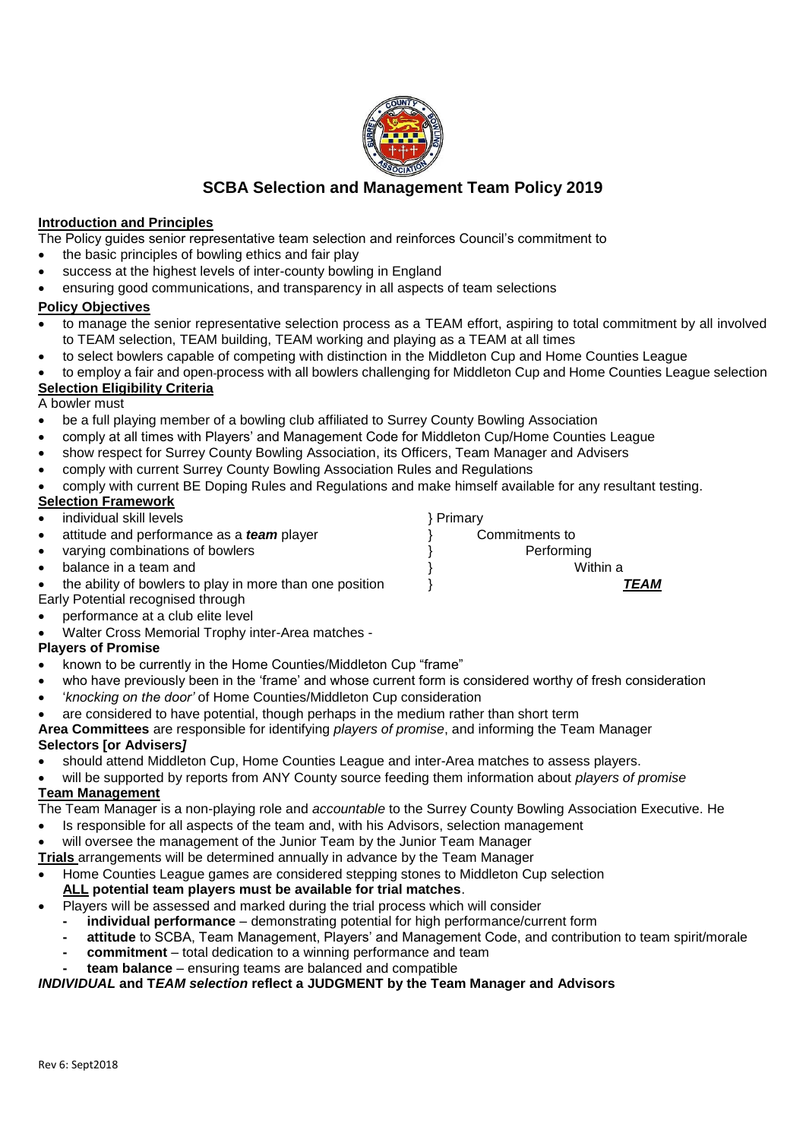

# **SCBA Selection and Management Team Policy 2019**

## **Introduction and Principles**

The Policy guides senior representative team selection and reinforces Council's commitment to

- the basic principles of bowling ethics and fair play
- success at the highest levels of inter-county bowling in England
- ensuring good communications, and transparency in all aspects of team selections

### **Policy Objectives**

- to manage the senior representative selection process as a TEAM effort, aspiring to total commitment by all involved to TEAM selection, TEAM building, TEAM working and playing as a TEAM at all times
- to select bowlers capable of competing with distinction in the Middleton Cup and Home Counties League
- to employ a fair and open process with all bowlers challenging for Middleton Cup and Home Counties League selection

# **Selection Eligibility Criteria**

A bowler must

- be a full playing member of a bowling club affiliated to Surrey County Bowling Association
- comply at all times with Players' and Management Code for Middleton Cup/Home Counties League
- show respect for Surrey County Bowling Association, its Officers, Team Manager and Advisers
- comply with current Surrey County Bowling Association Rules and Regulations
- comply with current BE Doping Rules and Regulations and make himself available for any resultant testing.

# **Selection Framework**

- individual skill levels **but a state of the state of the state of the state of the state of the state of the state of the state of the state of the state of the state of the state of the state of the state of the state of**
- attitude and performance as a *team* player } Commitments to
- varying combinations of bowlers  $\qquad \qquad \}$  Performing
- 
- the ability of bowlers to play in more than one position } *TEAM*
- Early Potential recognised through
- performance at a club elite level
- Walter Cross Memorial Trophy inter-Area matches -

# **Players of Promise**

- known to be currently in the Home Counties/Middleton Cup "frame"
- who have previously been in the 'frame' and whose current form is considered worthy of fresh consideration
- '*knocking on the door'* of Home Counties/Middleton Cup consideration
- are considered to have potential, though perhaps in the medium rather than short term
- **Area Committees** are responsible for identifying *players of promise*, and informing the Team Manager **Selectors [or Advisers***]*
- should attend Middleton Cup, Home Counties League and inter-Area matches to assess players.
- will be supported by reports from ANY County source feeding them information about *players of promise* **Team Management**
- The Team Manager is a non-playing role and *accountable* to the Surrey County Bowling Association Executive. He
- Is responsible for all aspects of the team and, with his Advisors, selection management
- will oversee the management of the Junior Team by the Junior Team Manager
- **Trials** arrangements will be determined annually in advance by the Team Manager
- Home Counties League games are considered stepping stones to Middleton Cup selection

# **ALL potential team players must be available for trial matches**.

- Players will be assessed and marked during the trial process which will consider
	- **- individual performance** demonstrating potential for high performance/current form
	- **- attitude** to SCBA, Team Management, Players' and Management Code, and contribution to team spirit/morale
	- **- commitment** total dedication to a winning performance and team
	- **- team balance** ensuring teams are balanced and compatible

# *INDIVIDUAL* **and T***EAM selection* **reflect a JUDGMENT by the Team Manager and Advisors**

**balance in a team and**   $\qquad \qquad \}$  Within a